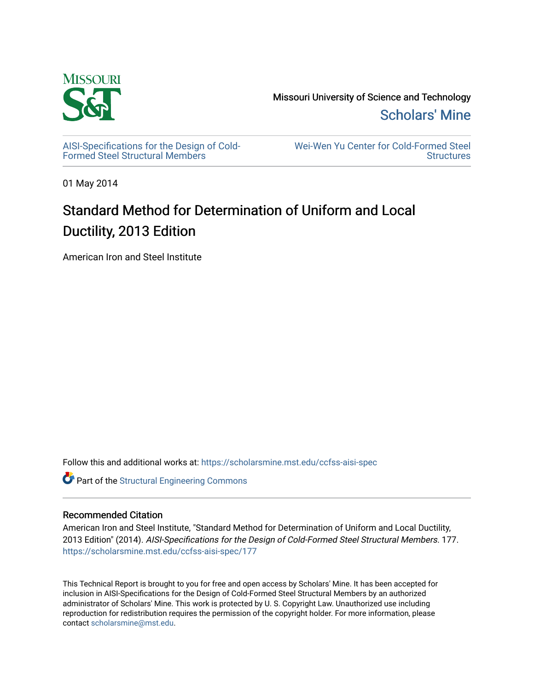

Missouri University of Science and Technology [Scholars' Mine](https://scholarsmine.mst.edu/) 

[AISI-Specifications for the Design of Cold-](https://scholarsmine.mst.edu/ccfss-aisi-spec)[Formed Steel Structural Members](https://scholarsmine.mst.edu/ccfss-aisi-spec)

[Wei-Wen Yu Center for Cold-Formed Steel](https://scholarsmine.mst.edu/ccfss)  **Structures** 

01 May 2014

## Standard Method for Determination of Uniform and Local Ductility, 2013 Edition

American Iron and Steel Institute

Follow this and additional works at: [https://scholarsmine.mst.edu/ccfss-aisi-spec](https://scholarsmine.mst.edu/ccfss-aisi-spec?utm_source=scholarsmine.mst.edu%2Fccfss-aisi-spec%2F177&utm_medium=PDF&utm_campaign=PDFCoverPages) 

Part of the [Structural Engineering Commons](http://network.bepress.com/hgg/discipline/256?utm_source=scholarsmine.mst.edu%2Fccfss-aisi-spec%2F177&utm_medium=PDF&utm_campaign=PDFCoverPages) 

### Recommended Citation

American Iron and Steel Institute, "Standard Method for Determination of Uniform and Local Ductility, 2013 Edition" (2014). AISI-Specifications for the Design of Cold-Formed Steel Structural Members. 177. [https://scholarsmine.mst.edu/ccfss-aisi-spec/177](https://scholarsmine.mst.edu/ccfss-aisi-spec/177?utm_source=scholarsmine.mst.edu%2Fccfss-aisi-spec%2F177&utm_medium=PDF&utm_campaign=PDFCoverPages) 

This Technical Report is brought to you for free and open access by Scholars' Mine. It has been accepted for inclusion in AISI-Specifications for the Design of Cold-Formed Steel Structural Members by an authorized administrator of Scholars' Mine. This work is protected by U. S. Copyright Law. Unauthorized use including reproduction for redistribution requires the permission of the copyright holder. For more information, please contact [scholarsmine@mst.edu](mailto:scholarsmine@mst.edu).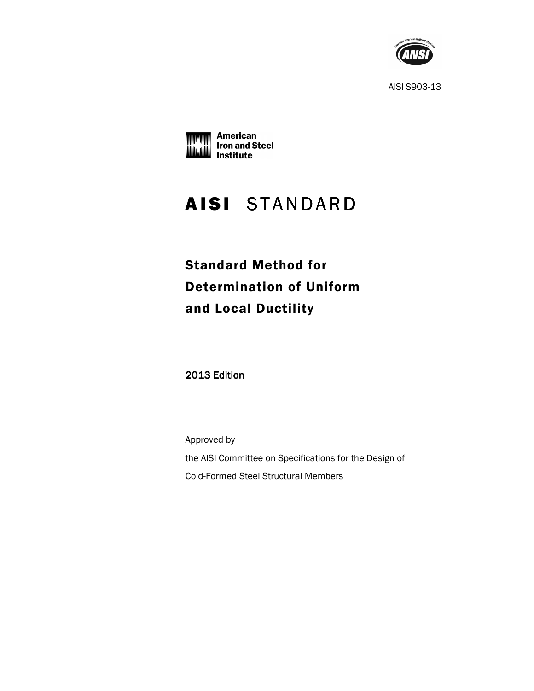

AISI S903-13



# **AISI** STANDARD

## Standard Method for Determination of Uniform and Local Ductility

2013 Edition

Approved by the AISI Committee on Specifications for the Design of Cold-Formed Steel Structural Members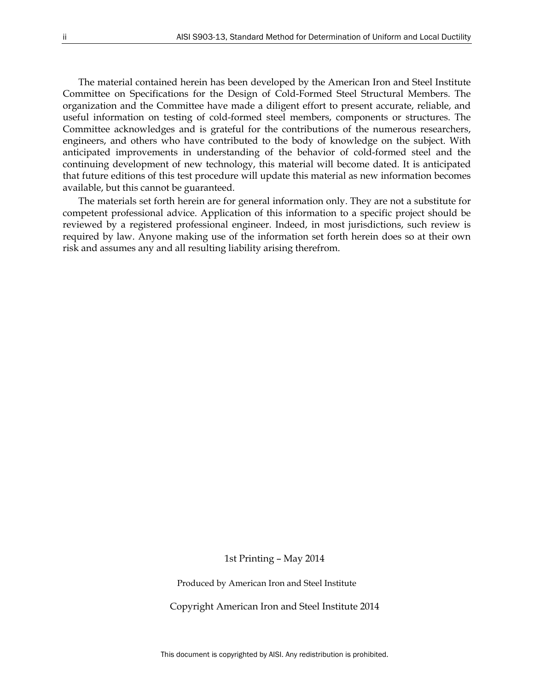The material contained herein has been developed by the American Iron and Steel Institute Committee on Specifications for the Design of Cold-Formed Steel Structural Members. The organization and the Committee have made a diligent effort to present accurate, reliable, and useful information on testing of cold-formed steel members, components or structures. The Committee acknowledges and is grateful for the contributions of the numerous researchers, engineers, and others who have contributed to the body of knowledge on the subject. With anticipated improvements in understanding of the behavior of cold-formed steel and the continuing development of new technology, this material will become dated. It is anticipated that future editions of this test procedure will update this material as new information becomes available, but this cannot be guaranteed.

The materials set forth herein are for general information only. They are not a substitute for competent professional advice. Application of this information to a specific project should be reviewed by a registered professional engineer. Indeed, in most jurisdictions, such review is required by law. Anyone making use of the information set forth herein does so at their own risk and assumes any and all resulting liability arising therefrom.

#### 1st Printing – May 2014

Produced by American Iron and Steel Institute

Copyright American Iron and Steel Institute 2014

This document is copyrighted by AISI. Any redistribution is prohibited.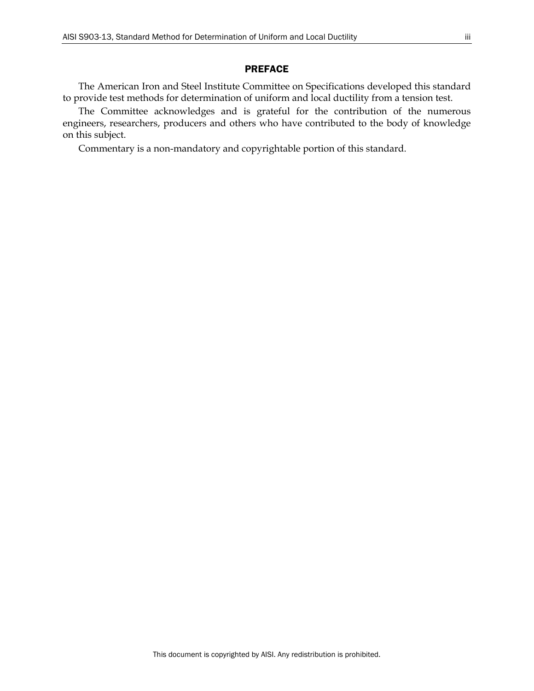#### PREFACE

The American Iron and Steel Institute Committee on Specifications developed this standard to provide test methods for determination of uniform and local ductility from a tension test.

The Committee acknowledges and is grateful for the contribution of the numerous engineers, researchers, producers and others who have contributed to the body of knowledge on this subject.

Commentary is a non-mandatory and copyrightable portion of this standard.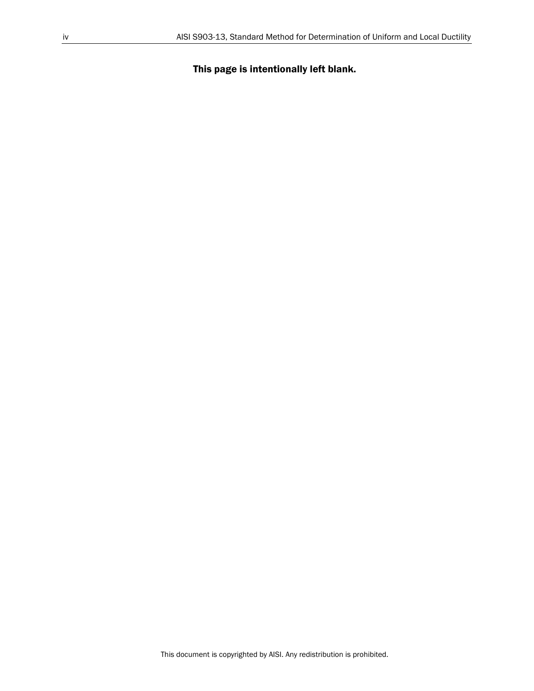This page is intentionally left blank.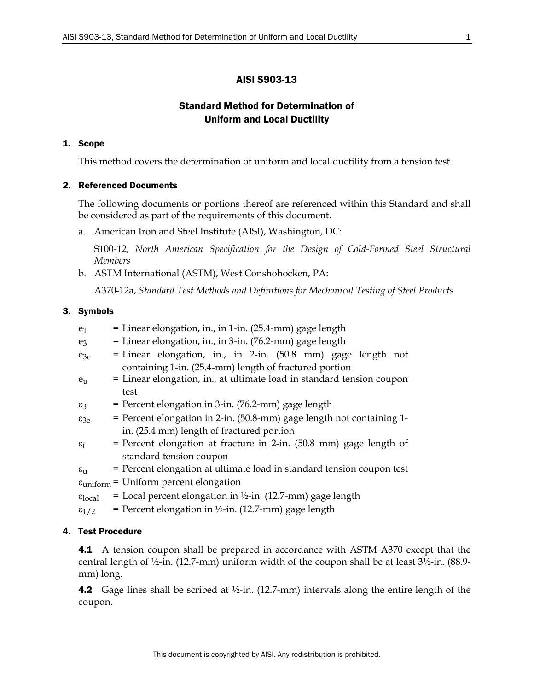#### AISI S903-13

## Standard Method for Determination of Uniform and Local Ductility

#### 1. Scope

This method covers the determination of uniform and local ductility from a tension test.

#### 2. Referenced Documents

The following documents or portions thereof are referenced within this Standard and shall be considered as part of the requirements of this document.

a. American Iron and Steel Institute (AISI), Washington, DC:

 S100-12, *North American Specification for the Design of Cold-Formed Steel Structural Members*

b. ASTM International (ASTM), West Conshohocken, PA:

A370-12a, *Standard Test Methods and Definitions for Mechanical Testing of Steel Products*

#### 3. Symbols

- $e_1$  = Linear elongation, in., in 1-in. (25.4-mm) gage length
- $e_3$  = Linear elongation, in., in 3-in. (76.2-mm) gage length
- $e_{3e}$  = Linear elongation, in., in 2-in. (50.8 mm) gage length not containing 1-in. (25.4-mm) length of fractured portion
- $e_{u}$  = Linear elongation, in., at ultimate load in standard tension coupon test
- $\varepsilon_3$  = Percent elongation in 3-in. (76.2-mm) gage length
- $\varepsilon_{3e}$  = Percent elongation in 2-in. (50.8-mm) gage length not containing 1in. (25.4 mm) length of fractured portion
- εf = Percent elongation at fracture in 2-in. (50.8 mm) gage length of standard tension coupon
- $\varepsilon_{u}$  = Percent elongation at ultimate load in standard tension coupon test

 $\varepsilon_{uniform}$  = Uniform percent elongation

 $\varepsilon_{local}$  = Local percent elongation in ½-in. (12.7-mm) gage length

```
\varepsilon_{1/2} = Percent elongation in ½-in. (12.7-mm) gage length
```
#### 4. Test Procedure

**4.1** A tension coupon shall be prepared in accordance with ASTM A370 except that the central length of  $\frac{1}{2}$ -in. (12.7-mm) uniform width of the coupon shall be at least  $\frac{3\frac{1}{2}$ -in. (88.9mm) long.

**4.2** Gage lines shall be scribed at  $\frac{1}{2}$ -in. (12.7-mm) intervals along the entire length of the coupon.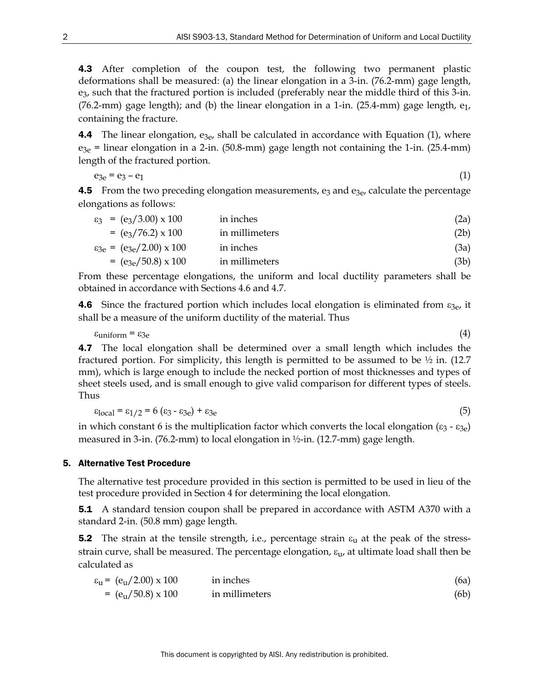**4.3** After completion of the coupon test, the following two permanent plastic deformations shall be measured: (a) the linear elongation in a 3-in. (76.2-mm) gage length,  $e_{3}$ , such that the fractured portion is included (preferably near the middle third of this 3-in. (76.2-mm) gage length); and (b) the linear elongation in a 1-in. (25.4-mm) gage length,  $e_1$ , containing the fracture.

**4.4** The linear elongation,  $e_{3e}$ , shall be calculated in accordance with Equation (1), where  $e_{3e}$  = linear elongation in a 2-in. (50.8-mm) gage length not containing the 1-in. (25.4-mm) length of the fractured portion.

$$
e_{3e} = e_3 - e_1 \tag{1}
$$

**4.5** From the two preceding elongation measurements,  $e_3$  and  $e_{3e}$ , calculate the percentage elongations as follows:

| $\varepsilon_3 = (e_3/3.00) \times 100$       | in inches      | (2a) |
|-----------------------------------------------|----------------|------|
| $=$ (e <sub>3</sub> /76.2) $\times$ 100       | in millimeters | (2b) |
| $\varepsilon_{3e} = (e_{3e}/2.00) \times 100$ | in inches      | (3a) |
| $=$ (e <sub>3e</sub> /50.8) x 100             | in millimeters | (3b) |

From these percentage elongations, the uniform and local ductility parameters shall be obtained in accordance with Sections 4.6 and 4.7.

**4.6** Since the fractured portion which includes local elongation is eliminated from  $\varepsilon_{3e}$ , it shall be a measure of the uniform ductility of the material. Thus

 $\varepsilon_{\text{uniform}} = \varepsilon_{3e}$  (4)

**4.7** The local elongation shall be determined over a small length which includes the fractured portion. For simplicity, this length is permitted to be assumed to be  $\frac{1}{2}$  in. (12.7) mm), which is large enough to include the necked portion of most thicknesses and types of sheet steels used, and is small enough to give valid comparison for different types of steels. Thus

$$
\varepsilon_{\text{local}} = \varepsilon_{1/2} = 6 \left( \varepsilon_3 - \varepsilon_{3\text{e}} \right) + \varepsilon_{3\text{e}} \tag{5}
$$

in which constant 6 is the multiplication factor which converts the local elongation ( $\varepsilon_3$  -  $\varepsilon_{3e}$ ) measured in 3-in. (76.2-mm) to local elongation in  $\frac{1}{2}$ -in. (12.7-mm) gage length.

#### 5. Alternative Test Procedure

The alternative test procedure provided in this section is permitted to be used in lieu of the test procedure provided in Section 4 for determining the local elongation.

**5.1** A standard tension coupon shall be prepared in accordance with ASTM A370 with a standard 2-in. (50.8 mm) gage length.

**5.2** The strain at the tensile strength, i.e., percentage strain  $\varepsilon_u$  at the peak of the stressstrain curve, shall be measured. The percentage elongation,  $\varepsilon_{\text{u}}$ , at ultimate load shall then be calculated as

| $\varepsilon_{\rm u}$ = (e <sub>u</sub> /2.00) x 100 | in inches      | (6a) |
|------------------------------------------------------|----------------|------|
| $=$ (e <sub>u</sub> /50.8) x 100                     | in millimeters | (6b) |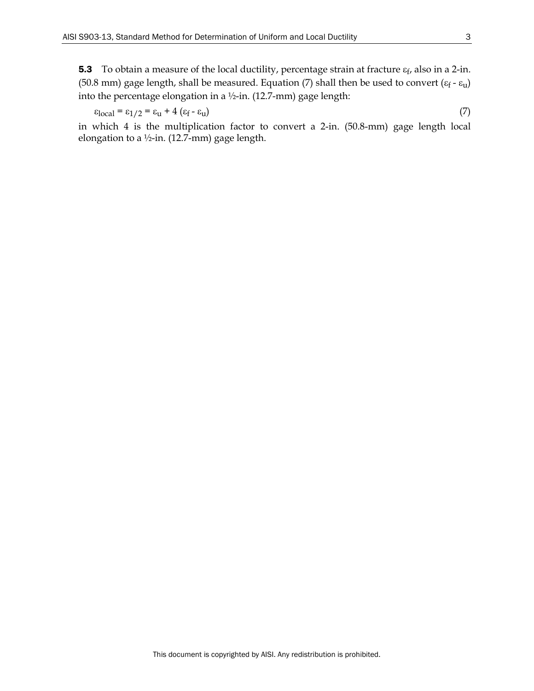**5.3** To obtain a measure of the local ductility, percentage strain at fracture  $\varepsilon_f$ , also in a 2-in. (50.8 mm) gage length, shall be measured. Equation (7) shall then be used to convert ( $\varepsilon_f$  -  $\varepsilon_u$ ) into the percentage elongation in a ½-in. (12.7-mm) gage length:

$$
\varepsilon_{\text{local}} = \varepsilon_{1/2} = \varepsilon_{\text{u}} + 4 \left( \varepsilon_{\text{f}} - \varepsilon_{\text{u}} \right) \tag{7}
$$

in which 4 is the multiplication factor to convert a 2-in. (50.8-mm) gage length local elongation to a  $\frac{1}{2}$ -in. (12.7-mm) gage length.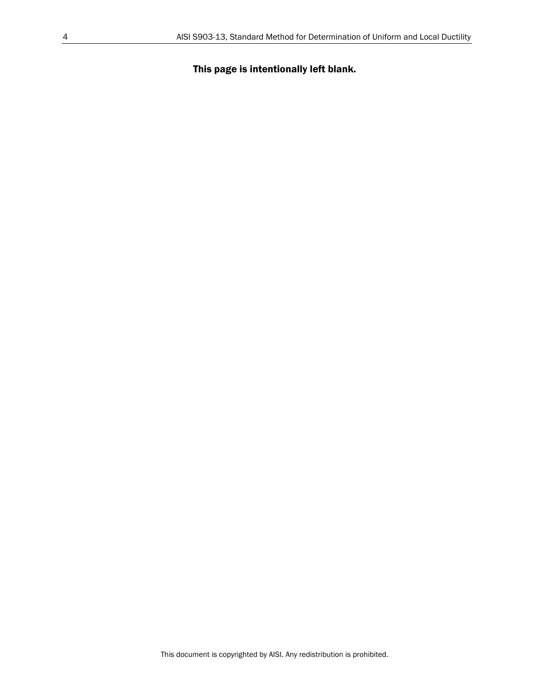This page is intentionally left blank.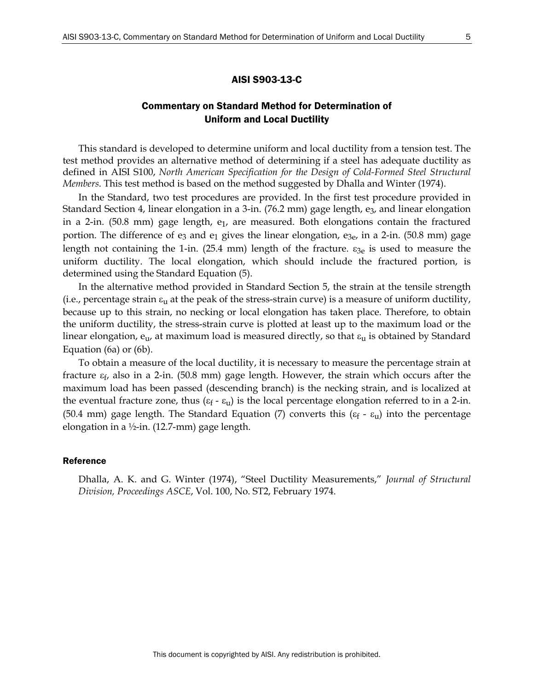#### AISI S903-13-C

### Commentary on Standard Method for Determination of Uniform and Local Ductility

This standard is developed to determine uniform and local ductility from a tension test. The test method provides an alternative method of determining if a steel has adequate ductility as defined in AISI S100, *North American Specification for the Design of Cold-Formed Steel Structural Members*. This test method is based on the method suggested by Dhalla and Winter (1974).

In the Standard, two test procedures are provided. In the first test procedure provided in Standard Section 4, linear elongation in a 3-in. (76.2 mm) gage length, e<sub>3</sub>, and linear elongation in a 2-in. (50.8 mm) gage length,  $e_1$ , are measured. Both elongations contain the fractured portion. The difference of  $e_3$  and  $e_1$  gives the linear elongation,  $e_{3e}$ , in a 2-in. (50.8 mm) gage length not containing the 1-in. (25.4 mm) length of the fracture.  $\varepsilon_{3e}$  is used to measure the uniform ductility. The local elongation, which should include the fractured portion, is determined using the Standard Equation (5).

In the alternative method provided in Standard Section 5, the strain at the tensile strength (i.e., percentage strain  $\varepsilon_u$  at the peak of the stress-strain curve) is a measure of uniform ductility, because up to this strain, no necking or local elongation has taken place. Therefore, to obtain the uniform ductility, the stress-strain curve is plotted at least up to the maximum load or the linear elongation,  $e_u$ , at maximum load is measured directly, so that  $\varepsilon_u$  is obtained by Standard Equation (6a) or (6b).

To obtain a measure of the local ductility, it is necessary to measure the percentage strain at fracture  $\varepsilon_f$ , also in a 2-in. (50.8 mm) gage length. However, the strain which occurs after the maximum load has been passed (descending branch) is the necking strain, and is localized at the eventual fracture zone, thus  $(\epsilon_f - \epsilon_u)$  is the local percentage elongation referred to in a 2-in. (50.4 mm) gage length. The Standard Equation (7) converts this ( $\varepsilon_f$  -  $\varepsilon_u$ ) into the percentage elongation in a  $\frac{1}{2}$ -in. (12.7-mm) gage length.

#### Reference

Dhalla, A. K. and G. Winter (1974), "Steel Ductility Measurements," *Journal of Structural Division, Proceedings ASCE*, Vol. 100, No. ST2, February 1974.